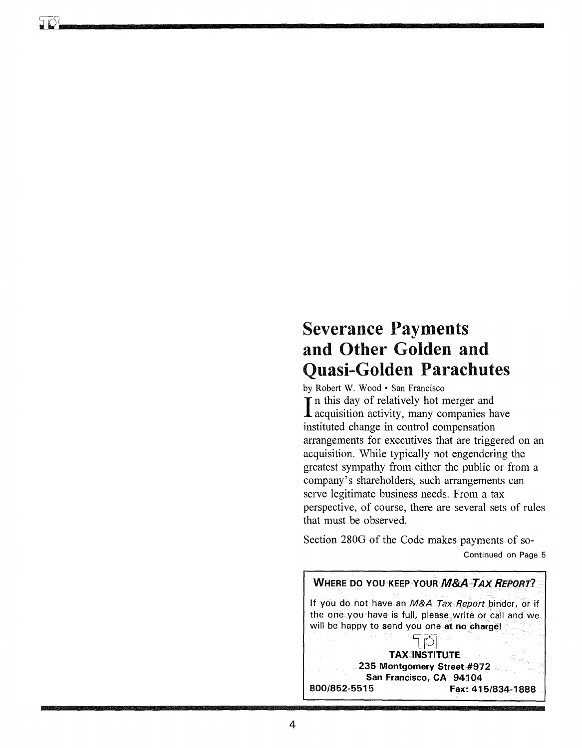# **Severance Payments and Other Golden and Quasi-Golden Parachutes**

by Robert W. Wood· San Francisco In this day of relatively hot merger and<br>
lacquisition activity, many companies have **T** in this day of relatively hot merger and instituted change in control compensation arrangements for executives that are triggered on an acquisition. While typically not engendering the greatest sympathy from either the public or from a company's shareholders, such arrangements can serve legitimate business needs. From a tax perspective, of course, there are several sets of rules that must be observed.

Section 280G of the Code makes payments of so-Continued on Page 5

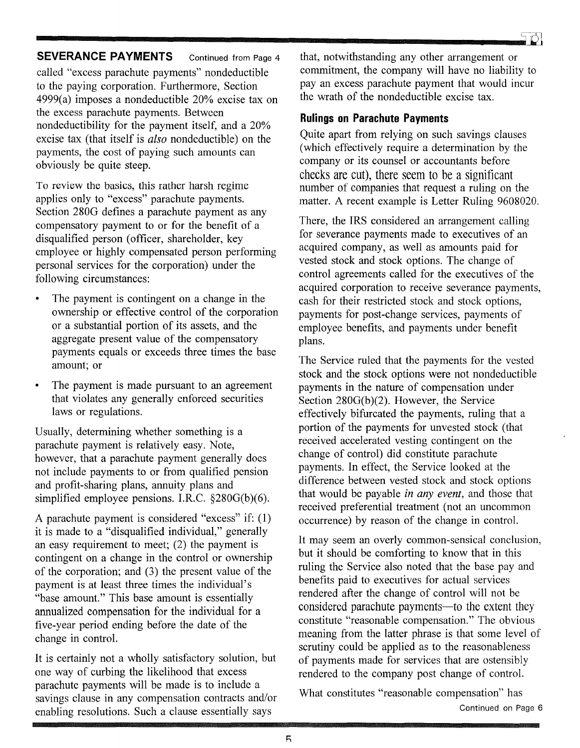## **SEVERANCE PAYMENTS** Continued from Page 4

called "excess parachute payments" nondeductible to the paying corporation. Furthermore, Section 4999(a) imposes a nondeductible 20% excise tax on the excess parachute payments. Between nondeductibility for the payment itself, and a 20% excise tax (that itself is *also* nondeductible) on the payments, the cost of paying such amounts can obviously be quite steep.

To review the basics, this rather harsh regime applies only to "excess" parachute payments. Section 280G defines a parachute payment as any compensatory payment to or for the benefit of a disqualified person (officer, shareholder, key employee or highly compensated person performing personal services for the corporation) under the following circumstances:

- The payment is contingent on a change in the ownership or effective control of the corporation or a substantial portion of its assets, and the aggregate present value of the compensatory payments equals or exceeds three times the base amount; or
- The payment is made pursuant to an agreement that violates any generally enforced securities laws or regulations.

Usually, determining whether something is a parachute payment is relatively easy. Note, however, that a parachute payment generally does not include payments to or from qualified pension and profit-sharing plans, annuity plans and simplified employee pensions. I.R.C. §280G(b)(6).

A parachute payment is considered "excess" if: (1) it is made to a "disqualified individual," generally an easy requirement to meet; (2) the payment is contingent on a change in the control or ownership of the corporation; and (3) the present value of the payment is at least three times the individual's "base amount." This base amount is essentially annualized compensation for the individual for a five-year period ending before the date of the change in control.

It is certainly not a wholly satisfactory solution, but one way of curbing the likelihood that excess parachute payments will be made is to include a savings clause in any compensation contracts and/or enabling resolutions. Such a clause essentially says

that, notwithstanding any other arrangement or commitment, the company will have no liability to pay an excess parachute payment that would incur the wrath of the nondeductible excise tax.

# **Rulings on Parachute Payments**

Quite apart from relying on such savings clauses (which effectively require a determination by the company or its counsel or accountants before checks are cut), there seem to be a significant number of companies that request a ruling on the matter. A recent example is Letter Ruling 9608020.

There, the IRS considered an arrangement calling for severance payments made to executives of an acquired company, as well as amounts paid for vested stock and stock options. The change of control agreements called for the executives of the acquired corporation to receive severance payments, cash for their restricted stock and stock options, payments for post-change services, payments of employee benefits, and payments under benefit plans.

The Service ruled that the payments for the vested stock and the stock options were not nondeductible payments in the nature of compensation under Section  $280G(b)(2)$ . However, the Service effectively bifurcated the payments, ruling that a portion of the payments for unvested stock (that received accelerated vesting contingent on the change of control) did constitute parachute payments. In effect, the Service looked at the difference between vested stock and stock options that would be payable *in any event,* and those that received preferential treatment (not an uncommon occurrence) by reason of the change in control.

It may seem an overly common-sensical conclusion, but it should be comforting to know that in this ruling the Service also noted that the base pay and benefits paid to executives for actual services rendered after the change of control will not be considered parachute payments—to the extent they constitute "reasonable compensation." The obvious meaning from the latter phrase is that some level of scrutiny could be applied as to the reasonableness of payments made for services that are ostensibly rendered to the company post change of control.

What constitutes "reasonable compensation" has Continued on Page 6